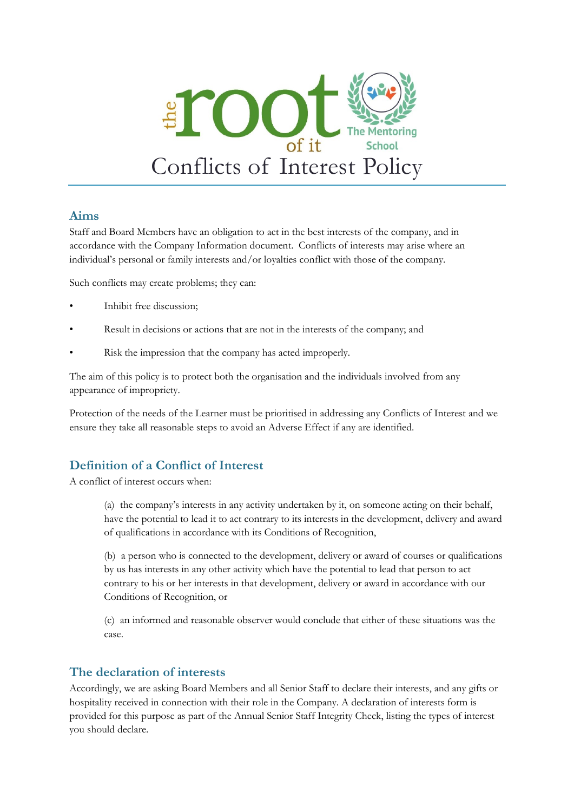

#### **Aims**

Staff and Board Members have an obligation to act in the best interests of the company, and in accordance with the Company Information document. Conflicts of interests may arise where an individual's personal or family interests and/or loyalties conflict with those of the company.

Such conflicts may create problems; they can:

- Inhibit free discussion:
- Result in decisions or actions that are not in the interests of the company; and
- Risk the impression that the company has acted improperly.

The aim of this policy is to protect both the organisation and the individuals involved from any appearance of impropriety.

Protection of the needs of the Learner must be prioritised in addressing any Conflicts of Interest and we ensure they take all reasonable steps to avoid an Adverse Effect if any are identified.

# **Definition of a Conflict of Interest**

A conflict of interest occurs when:

(a) the company's interests in any activity undertaken by it, on someone acting on their behalf, have the potential to lead it to act contrary to its interests in the development, delivery and award of qualifications in accordance with its Conditions of Recognition,

(b) a person who is connected to the development, delivery or award of courses or qualifications by us has interests in any other activity which have the potential to lead that person to act contrary to his or her interests in that development, delivery or award in accordance with our Conditions of Recognition, or

(c) an informed and reasonable observer would conclude that either of these situations was the case.

### **The declaration of interests**

Accordingly, we are asking Board Members and all Senior Staff to declare their interests, and any gifts or hospitality received in connection with their role in the Company. A declaration of interests form is provided for this purpose as part of the Annual Senior Staff Integrity Check, listing the types of interest you should declare.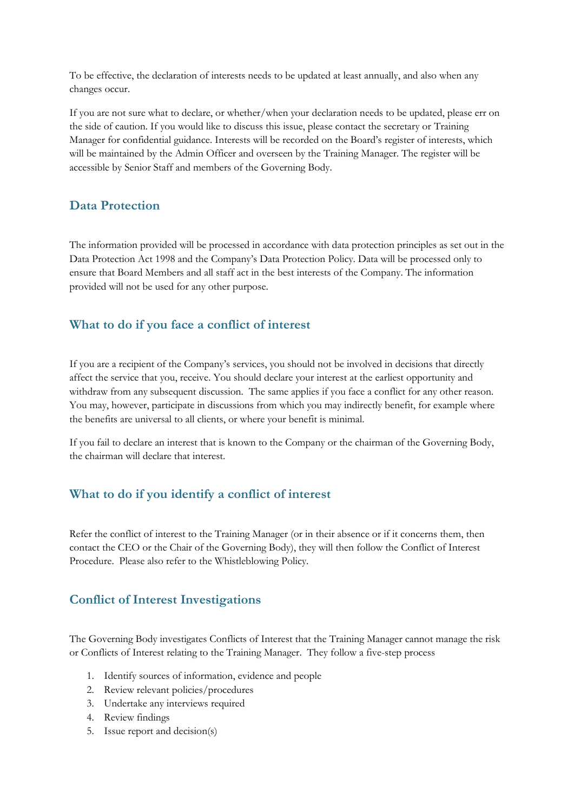To be effective, the declaration of interests needs to be updated at least annually, and also when any changes occur.

If you are not sure what to declare, or whether/when your declaration needs to be updated, please err on the side of caution. If you would like to discuss this issue, please contact the secretary or Training Manager for confidential guidance. Interests will be recorded on the Board's register of interests, which will be maintained by the Admin Officer and overseen by the Training Manager. The register will be accessible by Senior Staff and members of the Governing Body.

### **Data Protection**

The information provided will be processed in accordance with data protection principles as set out in the Data Protection Act 1998 and the Company's Data Protection Policy. Data will be processed only to ensure that Board Members and all staff act in the best interests of the Company. The information provided will not be used for any other purpose.

### **What to do if you face a conflict of interest**

If you are a recipient of the Company's services, you should not be involved in decisions that directly affect the service that you, receive. You should declare your interest at the earliest opportunity and withdraw from any subsequent discussion. The same applies if you face a conflict for any other reason. You may, however, participate in discussions from which you may indirectly benefit, for example where the benefits are universal to all clients, or where your benefit is minimal.

If you fail to declare an interest that is known to the Company or the chairman of the Governing Body, the chairman will declare that interest.

# **What to do if you identify a conflict of interest**

Refer the conflict of interest to the Training Manager (or in their absence or if it concerns them, then contact the CEO or the Chair of the Governing Body), they will then follow the Conflict of Interest Procedure. Please also refer to the Whistleblowing Policy.

### **Conflict of Interest Investigations**

The Governing Body investigates Conflicts of Interest that the Training Manager cannot manage the risk or Conflicts of Interest relating to the Training Manager. They follow a five-step process

- 1. Identify sources of information, evidence and people
- 2. Review relevant policies/procedures
- 3. Undertake any interviews required
- 4. Review findings
- 5. Issue report and decision(s)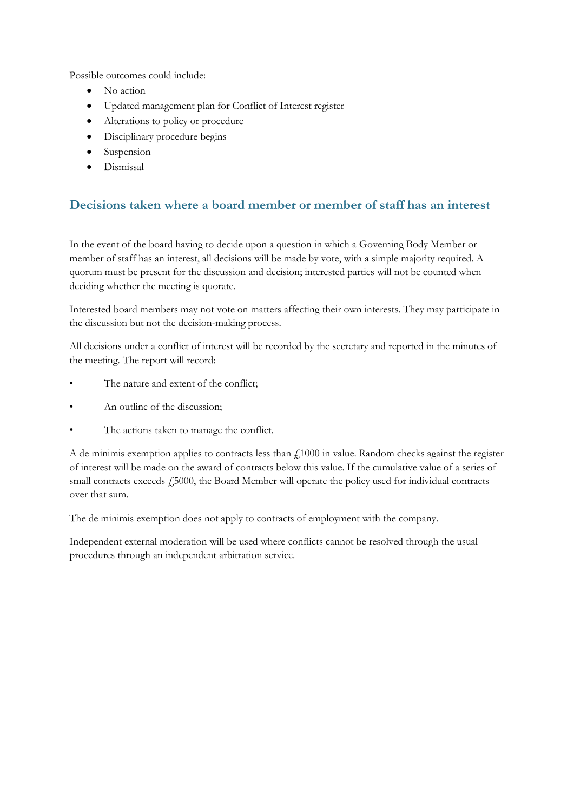Possible outcomes could include:

- No action
- Updated management plan for Conflict of Interest register
- Alterations to policy or procedure
- Disciplinary procedure begins
- Suspension
- Dismissal

### **Decisions taken where a board member or member of staff has an interest**

In the event of the board having to decide upon a question in which a Governing Body Member or member of staff has an interest, all decisions will be made by vote, with a simple majority required. A quorum must be present for the discussion and decision; interested parties will not be counted when deciding whether the meeting is quorate.

Interested board members may not vote on matters affecting their own interests. They may participate in the discussion but not the decision-making process.

All decisions under a conflict of interest will be recorded by the secretary and reported in the minutes of the meeting. The report will record:

- The nature and extent of the conflict;
- An outline of the discussion;
- The actions taken to manage the conflict.

A de minimis exemption applies to contracts less than  $f1000$  in value. Random checks against the register of interest will be made on the award of contracts below this value. If the cumulative value of a series of small contracts exceeds £5000, the Board Member will operate the policy used for individual contracts over that sum.

The de minimis exemption does not apply to contracts of employment with the company.

Independent external moderation will be used where conflicts cannot be resolved through the usual procedures through an independent arbitration service.